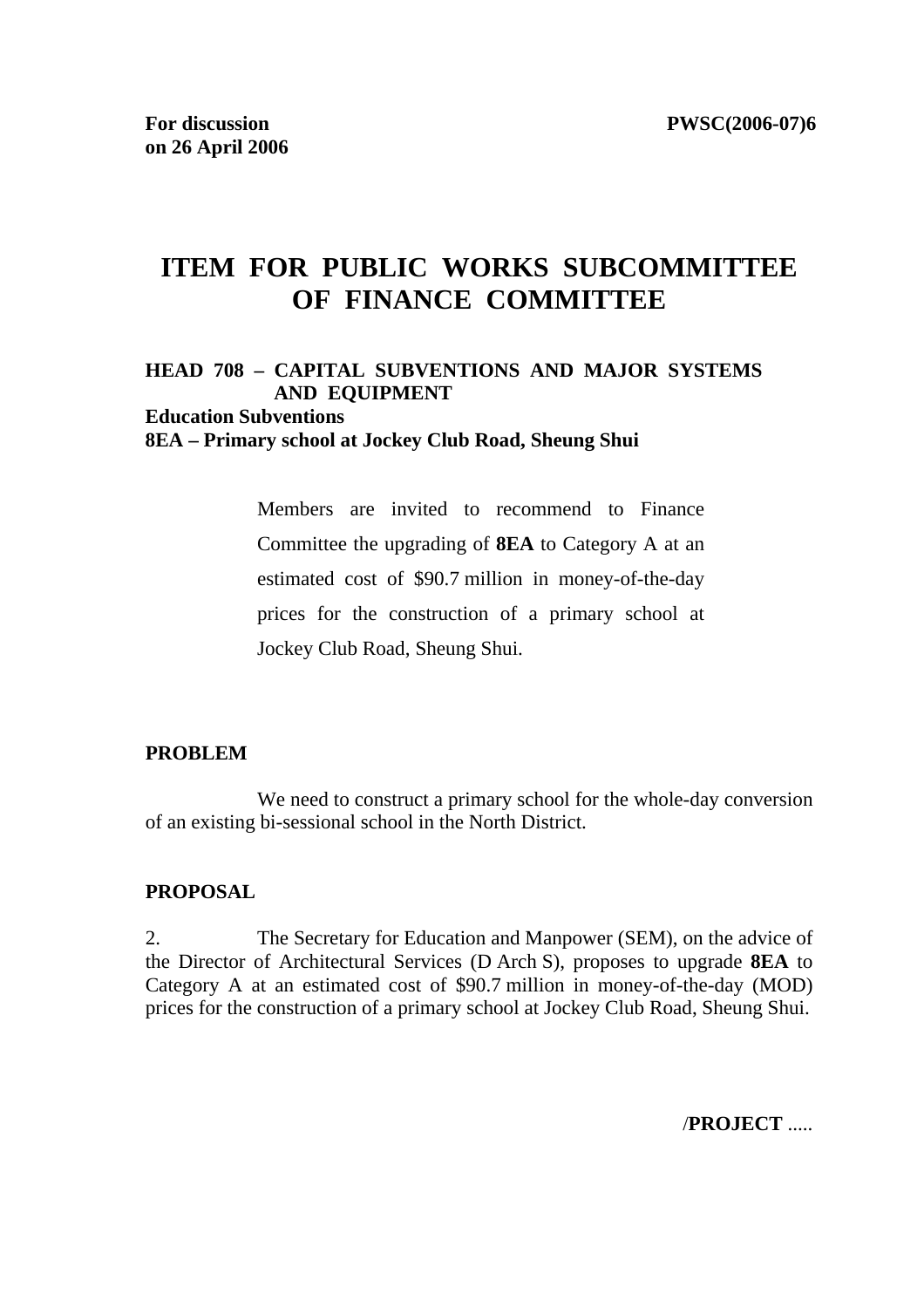# **ITEM FOR PUBLIC WORKS SUBCOMMITTEE OF FINANCE COMMITTEE**

#### **HEAD 708 – CAPITAL SUBVENTIONS AND MAJOR SYSTEMS AND EQUIPMENT Education Subventions 8EA – Primary school at Jockey Club Road, Sheung Shui**

Members are invited to recommend to Finance Committee the upgrading of **8EA** to Category A at an estimated cost of \$90.7 million in money-of-the-day prices for the construction of a primary school at Jockey Club Road, Sheung Shui.

#### **PROBLEM**

We need to construct a primary school for the whole-day conversion of an existing bi-sessional school in the North District.

#### **PROPOSAL**

2. The Secretary for Education and Manpower (SEM), on the advice of the Director of Architectural Services (D Arch S), proposes to upgrade **8EA** to Category A at an estimated cost of \$90.7 million in money-of-the-day (MOD) prices for the construction of a primary school at Jockey Club Road, Sheung Shui.

/**PROJECT** .....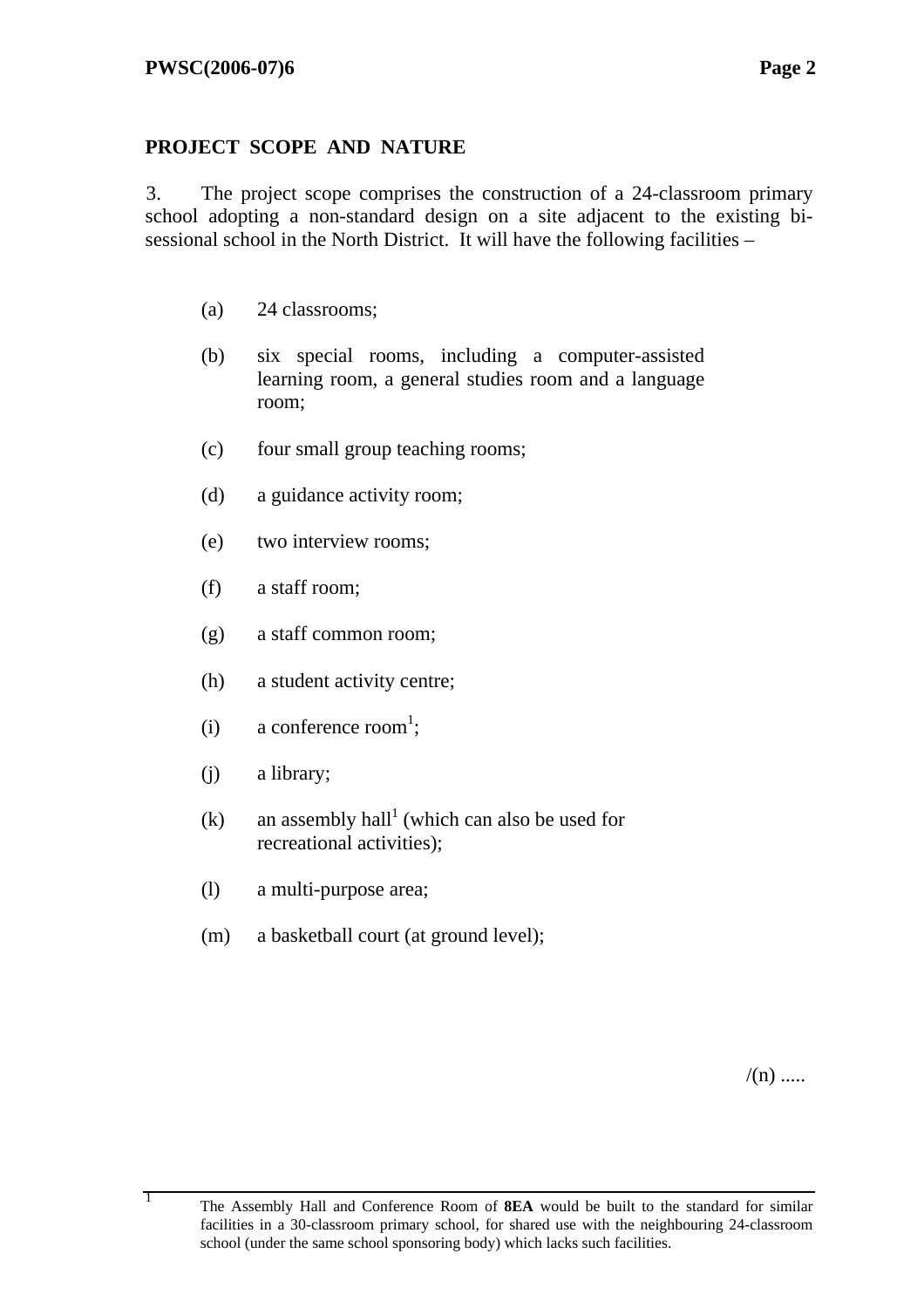## **PROJECT SCOPE AND NATURE**

3. The project scope comprises the construction of a 24-classroom primary school adopting a non-standard design on a site adjacent to the existing bisessional school in the North District. It will have the following facilities –

- (a) 24 classrooms;
- (b) six special rooms, including a computer-assisted learning room, a general studies room and a language room;
- (c) four small group teaching rooms;
- (d) a guidance activity room;
- (e) two interview rooms;
- (f) a staff room;
- (g) a staff common room;
- (h) a student activity centre;
- (i) a conference room<sup>1</sup>;
- (j) a library;
- $(k)$  an assembly hall<sup>1</sup> (which can also be used for recreational activities);
- (l) a multi-purpose area;
- (m) a basketball court (at ground level);

 $/(n)$  .....

<sup>1</sup> The Assembly Hall and Conference Room of **8EA** would be built to the standard for similar facilities in a 30-classroom primary school, for shared use with the neighbouring 24-classroom school (under the same school sponsoring body) which lacks such facilities.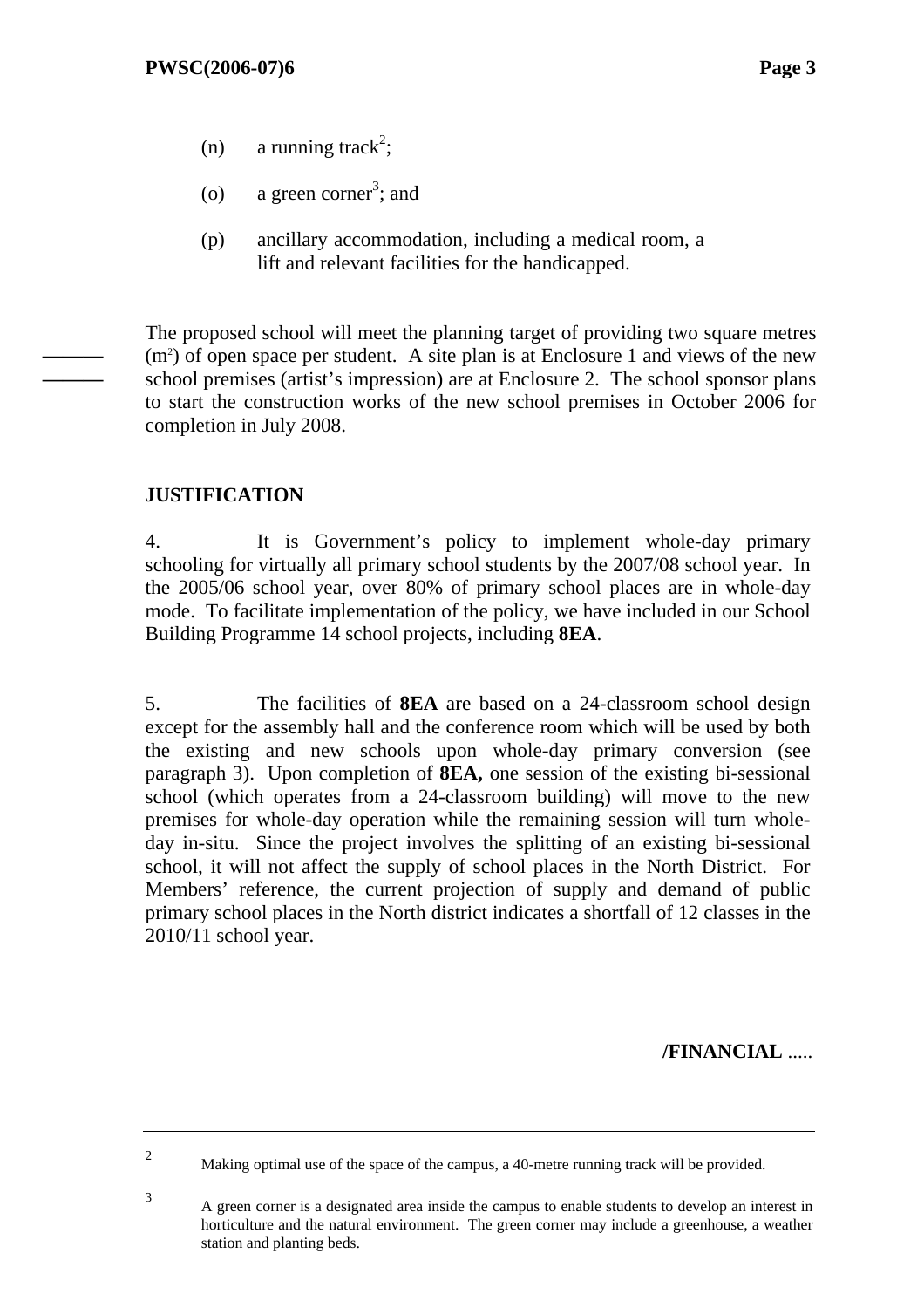- (n) a running track<sup>2</sup>;
- (o) a green corner<sup>3</sup>; and
- (p) ancillary accommodation, including a medical room, a lift and relevant facilities for the handicapped.

The proposed school will meet the planning target of providing two square metres  $(m<sup>2</sup>)$  of open space per student. A site plan is at Enclosure 1 and views of the new school premises (artist's impression) are at Enclosure 2. The school sponsor plans to start the construction works of the new school premises in October 2006 for completion in July 2008.

### **JUSTIFICATION**

**——— ———**

> 4. It is Government's policy to implement whole-day primary schooling for virtually all primary school students by the 2007/08 school year. In the 2005/06 school year, over 80% of primary school places are in whole-day mode. To facilitate implementation of the policy, we have included in our School Building Programme 14 school projects, including **8EA**.

> 5. The facilities of **8EA** are based on a 24-classroom school design except for the assembly hall and the conference room which will be used by both the existing and new schools upon whole-day primary conversion (see paragraph 3). Upon completion of **8EA,** one session of the existing bi-sessional school (which operates from a 24-classroom building) will move to the new premises for whole-day operation while the remaining session will turn wholeday in-situ. Since the project involves the splitting of an existing bi-sessional school, it will not affect the supply of school places in the North District. For Members' reference, the current projection of supply and demand of public primary school places in the North district indicates a shortfall of 12 classes in the 2010/11 school year.

> > **/FINANCIAL** .....

2

Making optimal use of the space of the campus, a 40-metre running track will be provided.

<sup>3</sup> A green corner is a designated area inside the campus to enable students to develop an interest in horticulture and the natural environment. The green corner may include a greenhouse, a weather station and planting beds.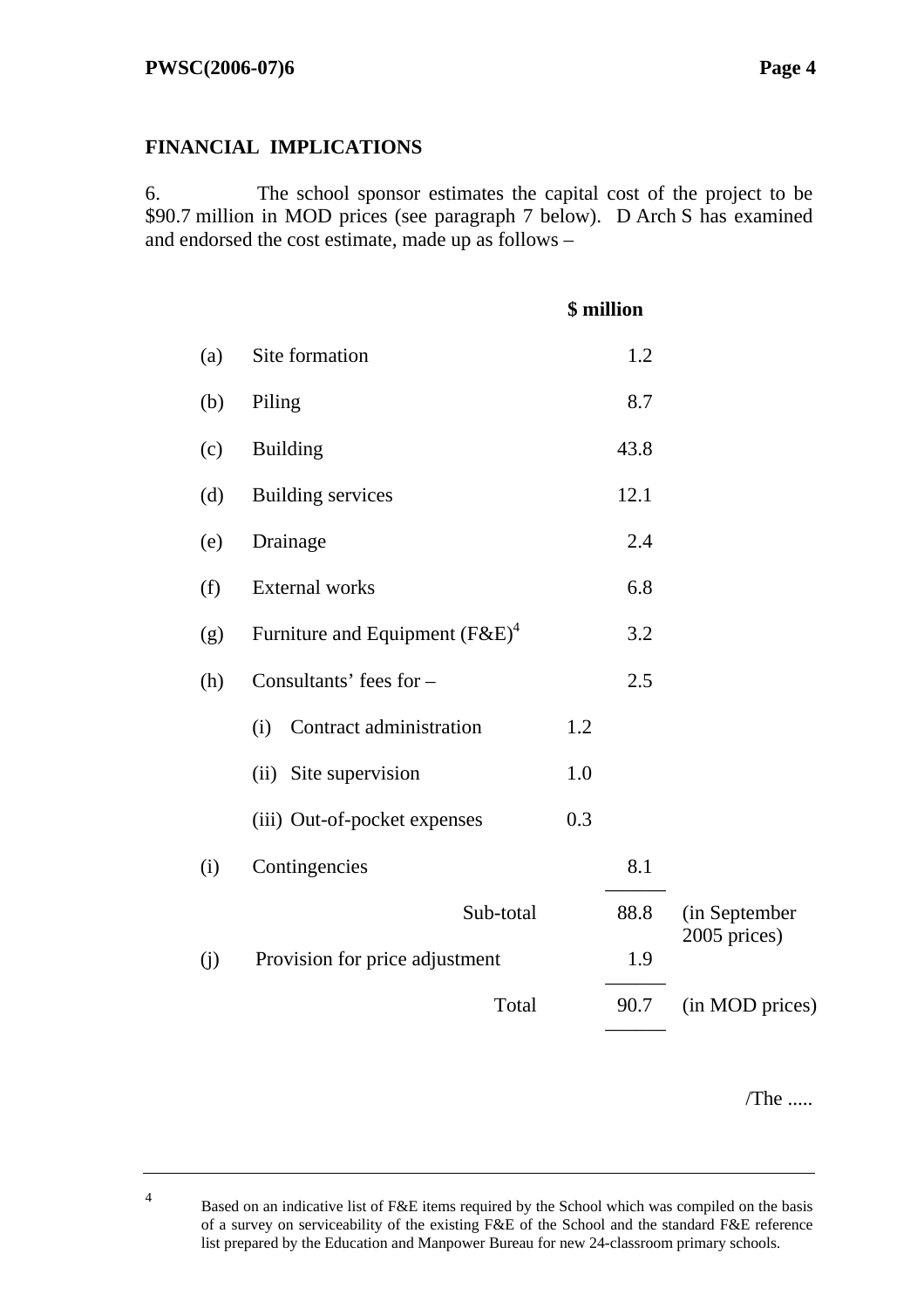#### **FINANCIAL IMPLICATIONS**

6. The school sponsor estimates the capital cost of the project to be \$90.7 million in MOD prices (see paragraph 7 below). D Arch S has examined and endorsed the cost estimate, made up as follows –

|     |                                    |     | \$ million |                 |
|-----|------------------------------------|-----|------------|-----------------|
| (a) | Site formation                     |     | 1.2        |                 |
| (b) | Piling                             |     | 8.7        |                 |
| (c) | <b>Building</b>                    |     | 43.8       |                 |
| (d) | <b>Building services</b>           |     | 12.1       |                 |
| (e) | Drainage                           |     | 2.4        |                 |
| (f) | <b>External works</b>              |     | 6.8        |                 |
| (g) | Furniture and Equipment $(F\&E)^4$ |     | 3.2        |                 |
| (h) | Consultants' fees for -            |     | 2.5        |                 |
|     | Contract administration<br>(i)     | 1.2 |            |                 |
|     | (ii) Site supervision              | 1.0 |            |                 |
|     | (iii) Out-of-pocket expenses       | 0.3 |            |                 |
| (i) | Contingencies                      |     | 8.1        |                 |
|     | Sub-total                          |     | 88.8       | (in September   |
| (i) | Provision for price adjustment     |     | 1.9        | 2005 prices)    |
|     | Total                              |     | 90.7       | (in MOD prices) |
|     |                                    |     |            |                 |

/The .....

4 Based on an indicative list of F&E items required by the School which was compiled on the basis of a survey on serviceability of the existing F&E of the School and the standard F&E reference list prepared by the Education and Manpower Bureau for new 24-classroom primary schools.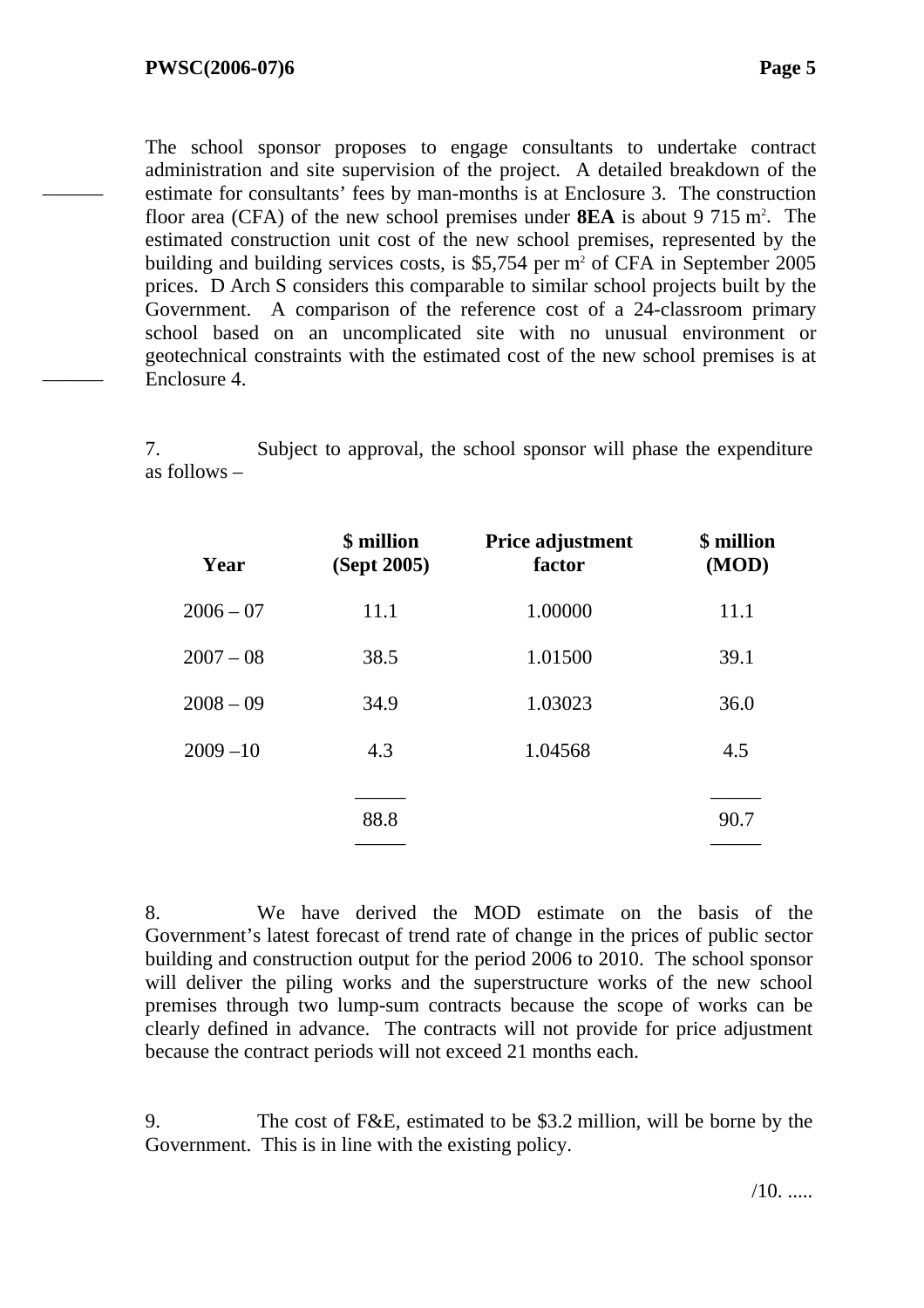––––––

––––––

The school sponsor proposes to engage consultants to undertake contract administration and site supervision of the project. A detailed breakdown of the estimate for consultants' fees by man-months is at Enclosure 3. The construction floor area (CFA) of the new school premises under **8EA** is about 9 715 m<sup>2</sup>. The estimated construction unit cost of the new school premises, represented by the building and building services costs, is  $$5,754$  per m<sup>2</sup> of CFA in September 2005 prices. D Arch S considers this comparable to similar school projects built by the Government. A comparison of the reference cost of a 24-classroom primary school based on an uncomplicated site with no unusual environment or geotechnical constraints with the estimated cost of the new school premises is at Enclosure 4.

7. Subject to approval, the school sponsor will phase the expenditure as follows –

| Year        | \$ million<br>(Sept 2005) | Price adjustment<br>factor | \$ million<br>(MOD) |
|-------------|---------------------------|----------------------------|---------------------|
| $2006 - 07$ | 11.1                      | 1.00000                    | 11.1                |
| $2007 - 08$ | 38.5                      | 1.01500                    | 39.1                |
| $2008 - 09$ | 34.9                      | 1.03023                    | 36.0                |
| $2009 - 10$ | 4.3                       | 1.04568                    | 4.5                 |
|             |                           |                            |                     |
|             | 88.8                      |                            | 90.7                |
|             |                           |                            |                     |

8. We have derived the MOD estimate on the basis of the Government's latest forecast of trend rate of change in the prices of public sector building and construction output for the period 2006 to 2010. The school sponsor will deliver the piling works and the superstructure works of the new school premises through two lump-sum contracts because the scope of works can be clearly defined in advance. The contracts will not provide for price adjustment because the contract periods will not exceed 21 months each.

9. The cost of F&E, estimated to be \$3.2 million, will be borne by the Government. This is in line with the existing policy.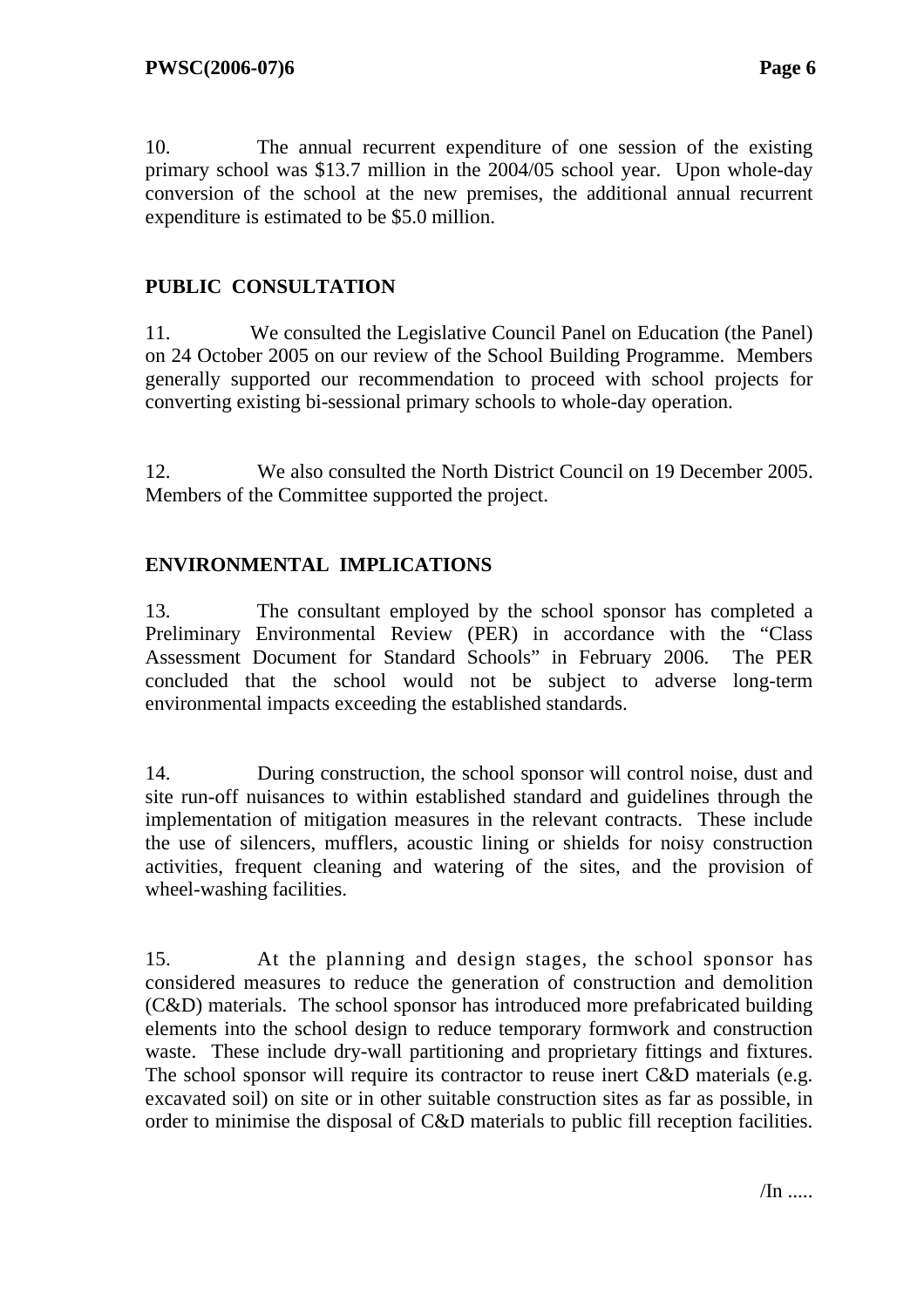10. The annual recurrent expenditure of one session of the existing primary school was \$13.7 million in the 2004/05 school year. Upon whole-day conversion of the school at the new premises, the additional annual recurrent expenditure is estimated to be \$5.0 million.

### **PUBLIC CONSULTATION**

11. We consulted the Legislative Council Panel on Education (the Panel) on 24 October 2005 on our review of the School Building Programme. Members generally supported our recommendation to proceed with school projects for converting existing bi-sessional primary schools to whole-day operation.

12. We also consulted the North District Council on 19 December 2005. Members of the Committee supported the project.

### **ENVIRONMENTAL IMPLICATIONS**

13. The consultant employed by the school sponsor has completed a Preliminary Environmental Review (PER) in accordance with the "Class Assessment Document for Standard Schools" in February 2006. The PER concluded that the school would not be subject to adverse long-term environmental impacts exceeding the established standards.

14. During construction, the school sponsor will control noise, dust and site run-off nuisances to within established standard and guidelines through the implementation of mitigation measures in the relevant contracts. These include the use of silencers, mufflers, acoustic lining or shields for noisy construction activities, frequent cleaning and watering of the sites, and the provision of wheel-washing facilities.

15. At the planning and design stages, the school sponsor has considered measures to reduce the generation of construction and demolition (C&D) materials. The school sponsor has introduced more prefabricated building elements into the school design to reduce temporary formwork and construction waste. These include dry-wall partitioning and proprietary fittings and fixtures. The school sponsor will require its contractor to reuse inert C&D materials (e.g. excavated soil) on site or in other suitable construction sites as far as possible, in order to minimise the disposal of C&D materials to public fill reception facilities.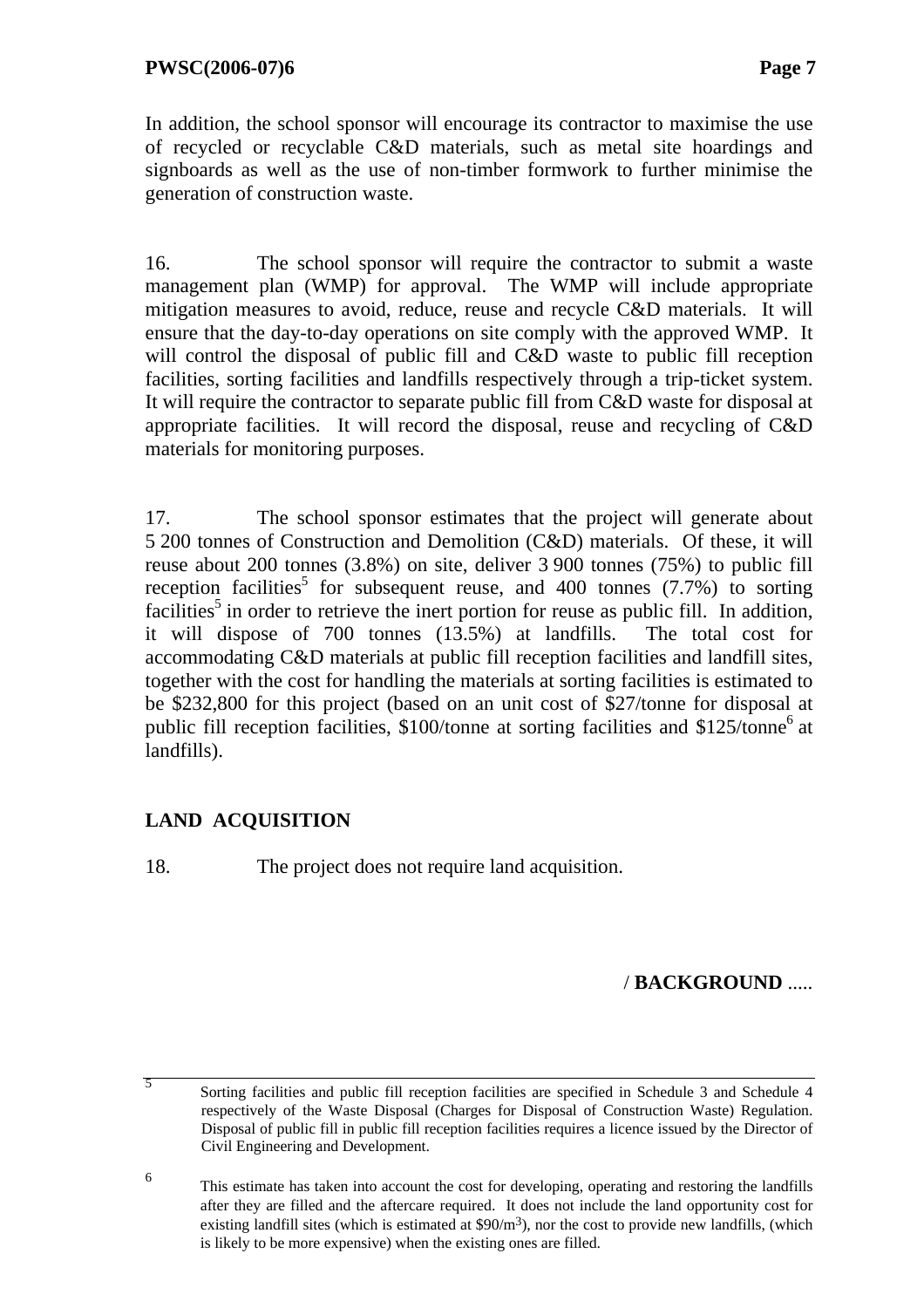In addition, the school sponsor will encourage its contractor to maximise the use of recycled or recyclable C&D materials, such as metal site hoardings and signboards as well as the use of non-timber formwork to further minimise the generation of construction waste.

16. The school sponsor will require the contractor to submit a waste management plan (WMP) for approval. The WMP will include appropriate mitigation measures to avoid, reduce, reuse and recycle C&D materials. It will ensure that the day-to-day operations on site comply with the approved WMP. It will control the disposal of public fill and C&D waste to public fill reception facilities, sorting facilities and landfills respectively through a trip-ticket system. It will require the contractor to separate public fill from C&D waste for disposal at appropriate facilities. It will record the disposal, reuse and recycling of C&D materials for monitoring purposes.

17. The school sponsor estimates that the project will generate about 5 200 tonnes of Construction and Demolition (C&D) materials. Of these, it will reuse about 200 tonnes (3.8%) on site, deliver 3 900 tonnes (75%) to public fill reception facilities<sup>5</sup> for subsequent reuse, and 400 tonnes  $(7.7%)$  to sorting facilities<sup>5</sup> in order to retrieve the inert portion for reuse as public fill. In addition, it will dispose of 700 tonnes (13.5%) at landfills. The total cost for accommodating C&D materials at public fill reception facilities and landfill sites, together with the cost for handling the materials at sorting facilities is estimated to be \$232,800 for this project (based on an unit cost of \$27/tonne for disposal at public fill reception facilities, \$100/tonne at sorting facilities and \$125/tonne<sup>6</sup> at landfills).

### **LAND ACQUISITION**

5

18. The project does not require land acquisition.

/ **BACKGROUND** .....

 Sorting facilities and public fill reception facilities are specified in Schedule 3 and Schedule 4 respectively of the Waste Disposal (Charges for Disposal of Construction Waste) Regulation. Disposal of public fill in public fill reception facilities requires a licence issued by the Director of Civil Engineering and Development.

<sup>6</sup> This estimate has taken into account the cost for developing, operating and restoring the landfills after they are filled and the aftercare required. It does not include the land opportunity cost for existing landfill sites (which is estimated at  $\frac{90}{m^3}$ ), nor the cost to provide new landfills, (which is likely to be more expensive) when the existing ones are filled.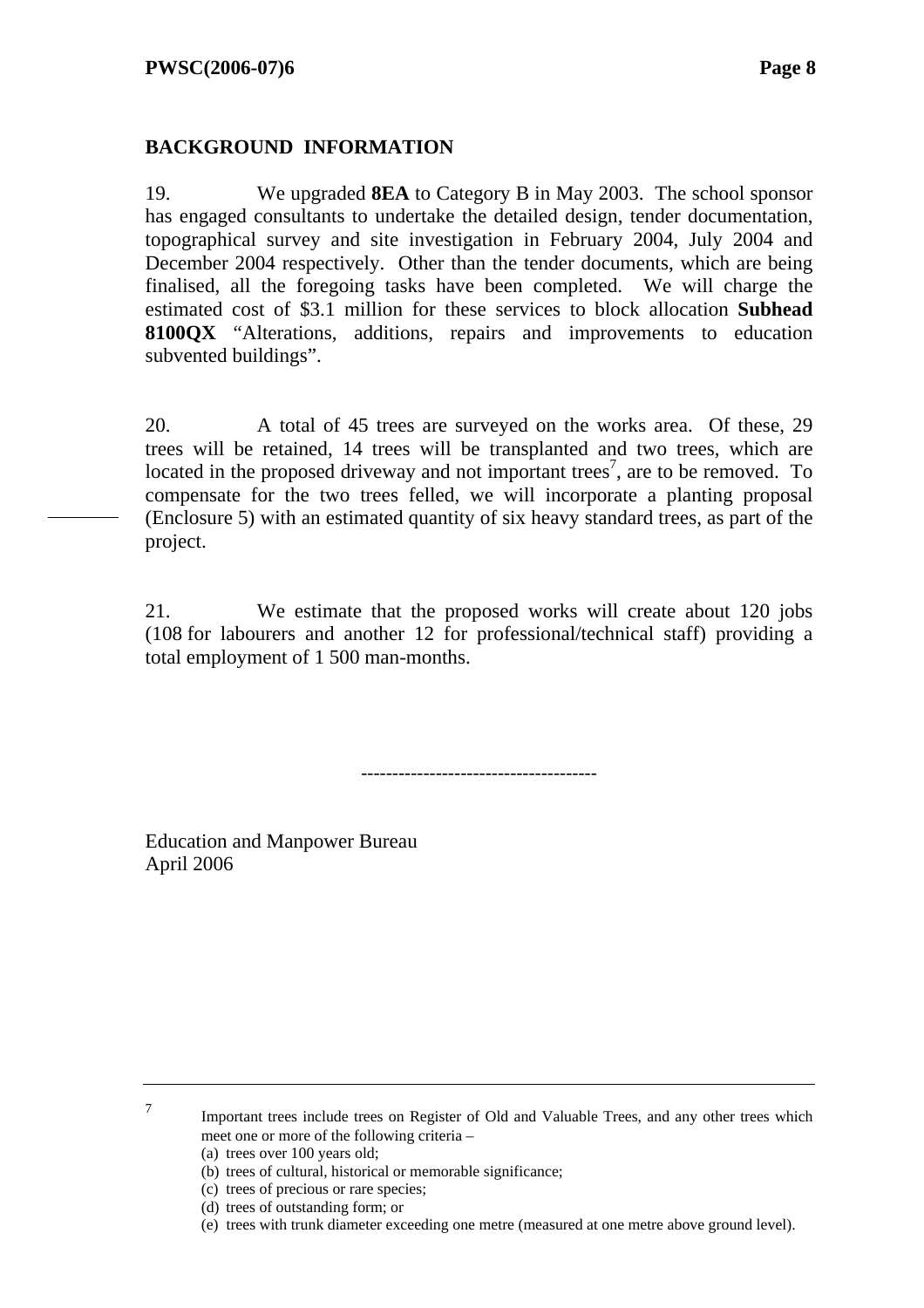#### **BACKGROUND INFORMATION**

19. We upgraded **8EA** to Category B in May 2003. The school sponsor has engaged consultants to undertake the detailed design, tender documentation, topographical survey and site investigation in February 2004, July 2004 and December 2004 respectively. Other than the tender documents, which are being finalised, all the foregoing tasks have been completed. We will charge the estimated cost of \$3.1 million for these services to block allocation **Subhead 8100QX** "Alterations, additions, repairs and improvements to education subvented buildings".

20. A total of 45 trees are surveyed on the works area. Of these, 29 trees will be retained, 14 trees will be transplanted and two trees, which are located in the proposed driveway and not important trees<sup>7</sup>, are to be removed. To compensate for the two trees felled, we will incorporate a planting proposal (Enclosure 5) with an estimated quantity of six heavy standard trees, as part of the project.

21. We estimate that the proposed works will create about 120 jobs (108 for labourers and another 12 for professional/technical staff) providing a total employment of 1 500 man-months.

--------------------------------------

Education and Manpower Bureau April 2006

> Important trees include trees on Register of Old and Valuable Trees, and any other trees which meet one or more of the following criteria –

(a) trees over 100 years old;

7

- (b) trees of cultural, historical or memorable significance;
- (c) trees of precious or rare species;
- (d) trees of outstanding form; or
- (e) trees with trunk diameter exceeding one metre (measured at one metre above ground level).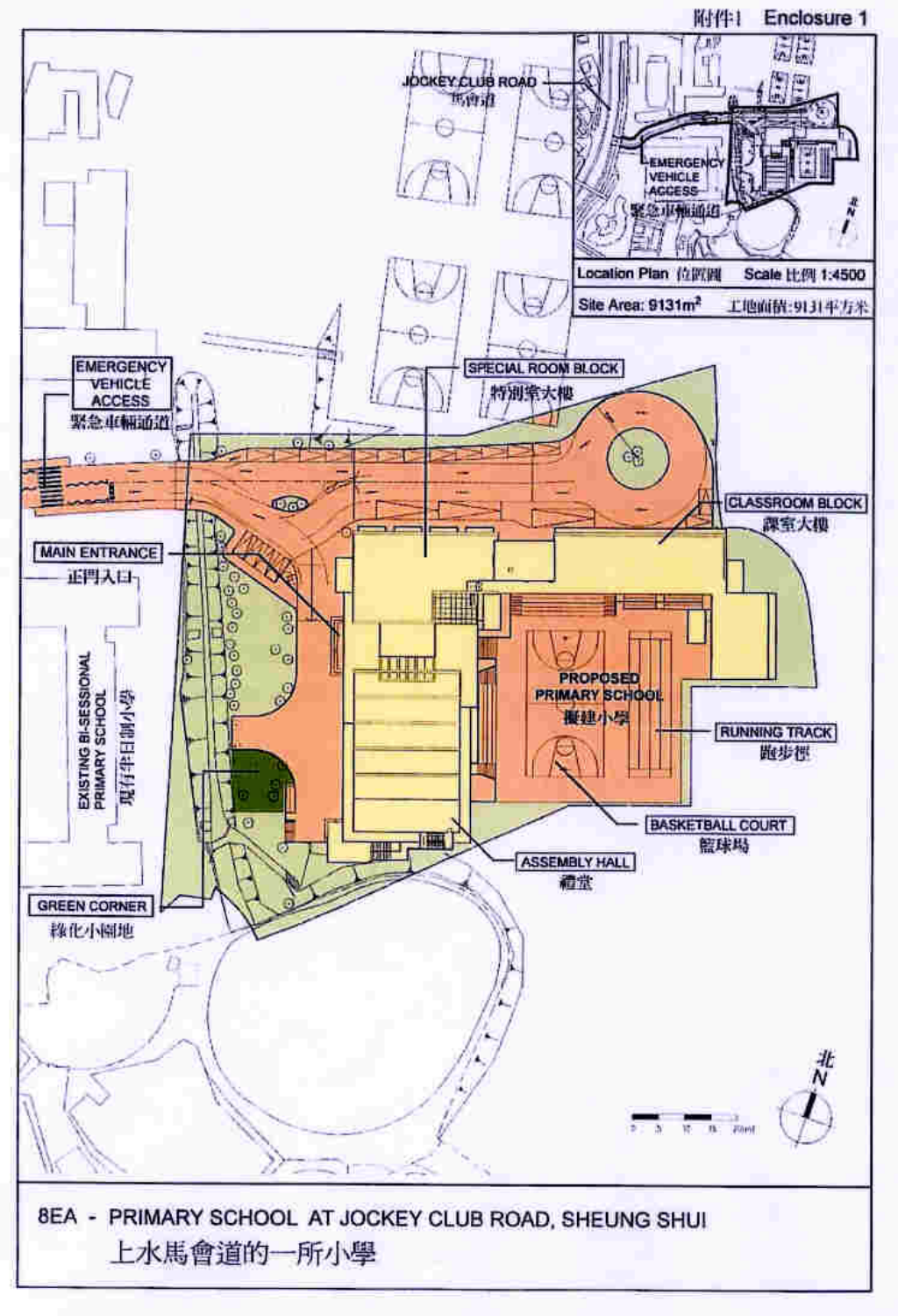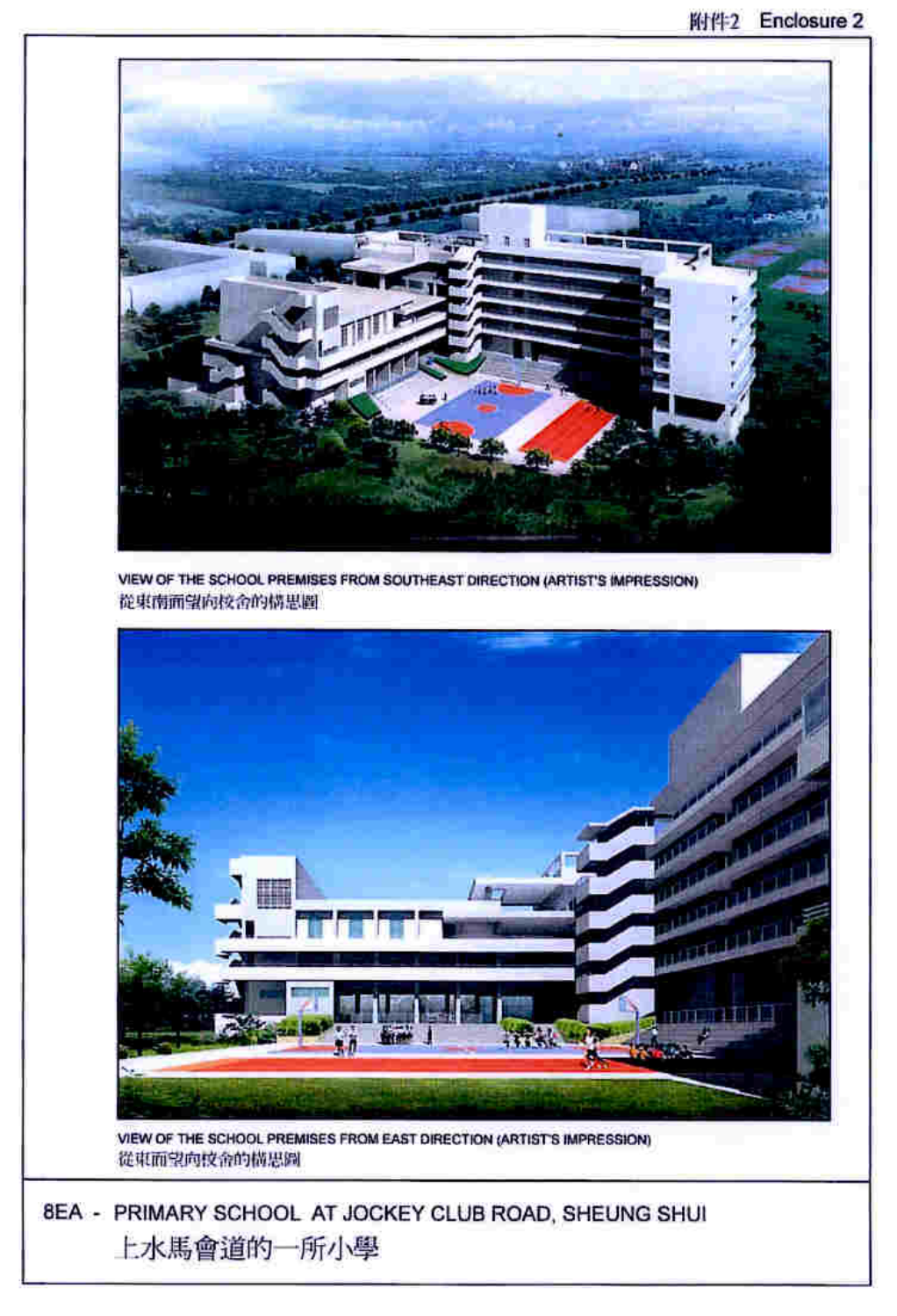

VIEW OF THE SCHOOL PREMISES FROM SOUTHEAST DIRECTION (ARTIST'S IMPRESSION) 從東南面望向校舍的構思圖



VIEW OF THE SCHOOL PREMISES FROM EAST DIRECTION (ARTISTS IMPRESSION) 從東面望向校舍的橫思圖

8EA - PRIMARY SCHOOL AT JOCKEY CLUB ROAD, SHEUNG SHUI 上水馬會道的一所小學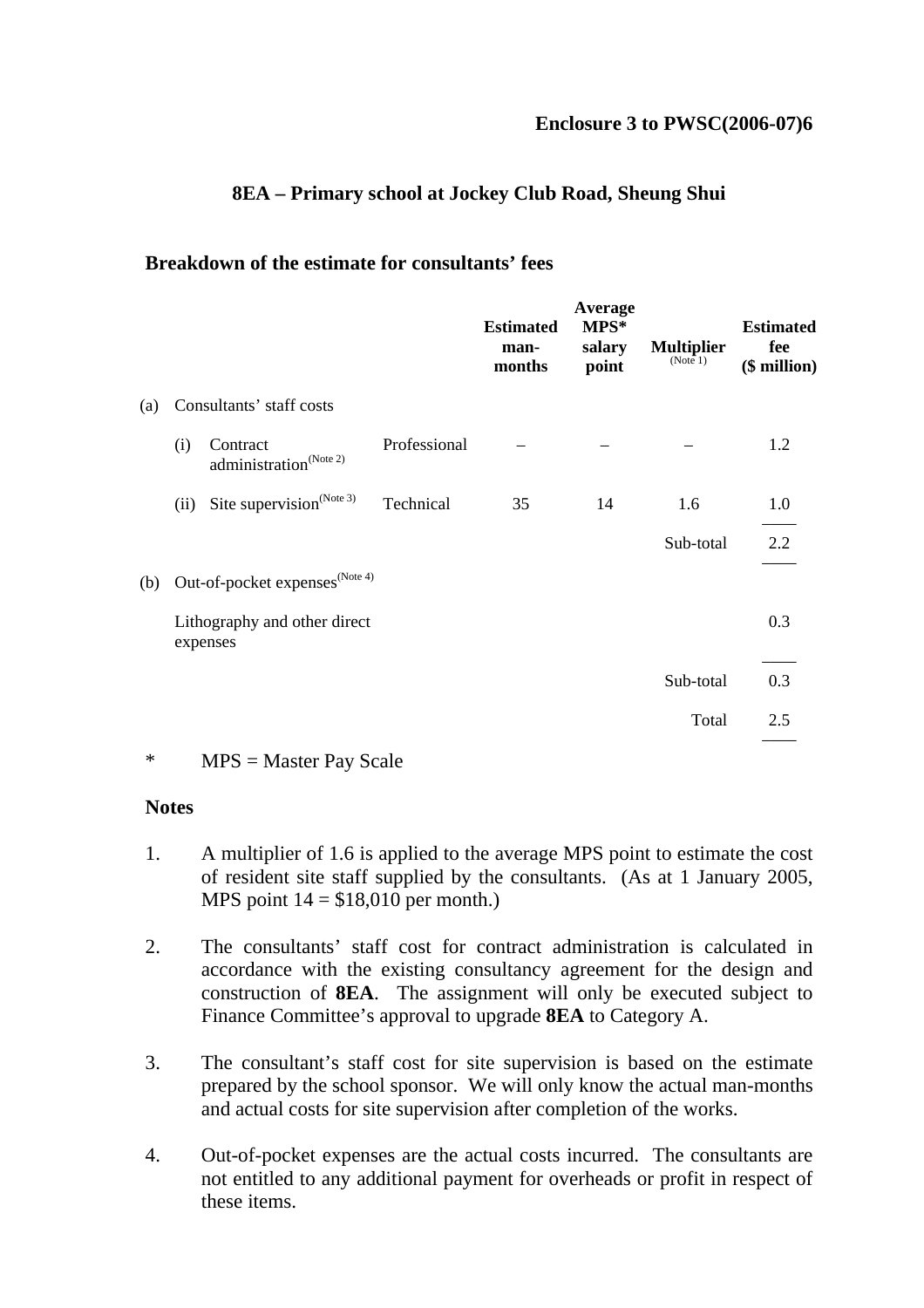### **8EA – Primary school at Jockey Club Road, Sheung Shui**

#### **Breakdown of the estimate for consultants' fees**

|     |      |                                                       |              | <b>Estimated</b><br>man-<br>months | Average<br>MPS*<br>salary<br>point | <b>Multiplier</b><br>(Note 1) | <b>Estimated</b><br>fee<br>$$$ million) |
|-----|------|-------------------------------------------------------|--------------|------------------------------------|------------------------------------|-------------------------------|-----------------------------------------|
| (a) |      | Consultants' staff costs                              |              |                                    |                                    |                               |                                         |
|     | (i)  | Contract<br>$\text{administration}^{\text{(Note 2)}}$ | Professional |                                    |                                    |                               | 1.2                                     |
|     | (ii) | Site supervision <sup>(Note 3)</sup>                  | Technical    | 35                                 | 14                                 | 1.6                           | 1.0                                     |
|     |      |                                                       |              |                                    |                                    | Sub-total                     | $2.2^{\circ}$                           |
| (b) |      | Out-of-pocket expenses <sup>(Note 4)</sup>            |              |                                    |                                    |                               |                                         |
|     |      | Lithography and other direct<br>expenses              |              |                                    |                                    |                               | 0.3                                     |
|     |      |                                                       |              |                                    |                                    | Sub-total                     | 0.3                                     |
|     |      |                                                       |              |                                    |                                    | Total                         | 2.5                                     |
|     |      |                                                       |              |                                    |                                    |                               |                                         |

<sup>\*</sup> MPS = Master Pay Scale

#### **Notes**

- 1. A multiplier of 1.6 is applied to the average MPS point to estimate the cost of resident site staff supplied by the consultants. (As at 1 January 2005, MPS point  $14 = $18,010$  per month.)
- 2. The consultants' staff cost for contract administration is calculated in accordance with the existing consultancy agreement for the design and construction of **8EA**. The assignment will only be executed subject to Finance Committee's approval to upgrade **8EA** to Category A.
- 3. The consultant's staff cost for site supervision is based on the estimate prepared by the school sponsor. We will only know the actual man-months and actual costs for site supervision after completion of the works.
- 4. Out-of-pocket expenses are the actual costs incurred. The consultants are not entitled to any additional payment for overheads or profit in respect of these items.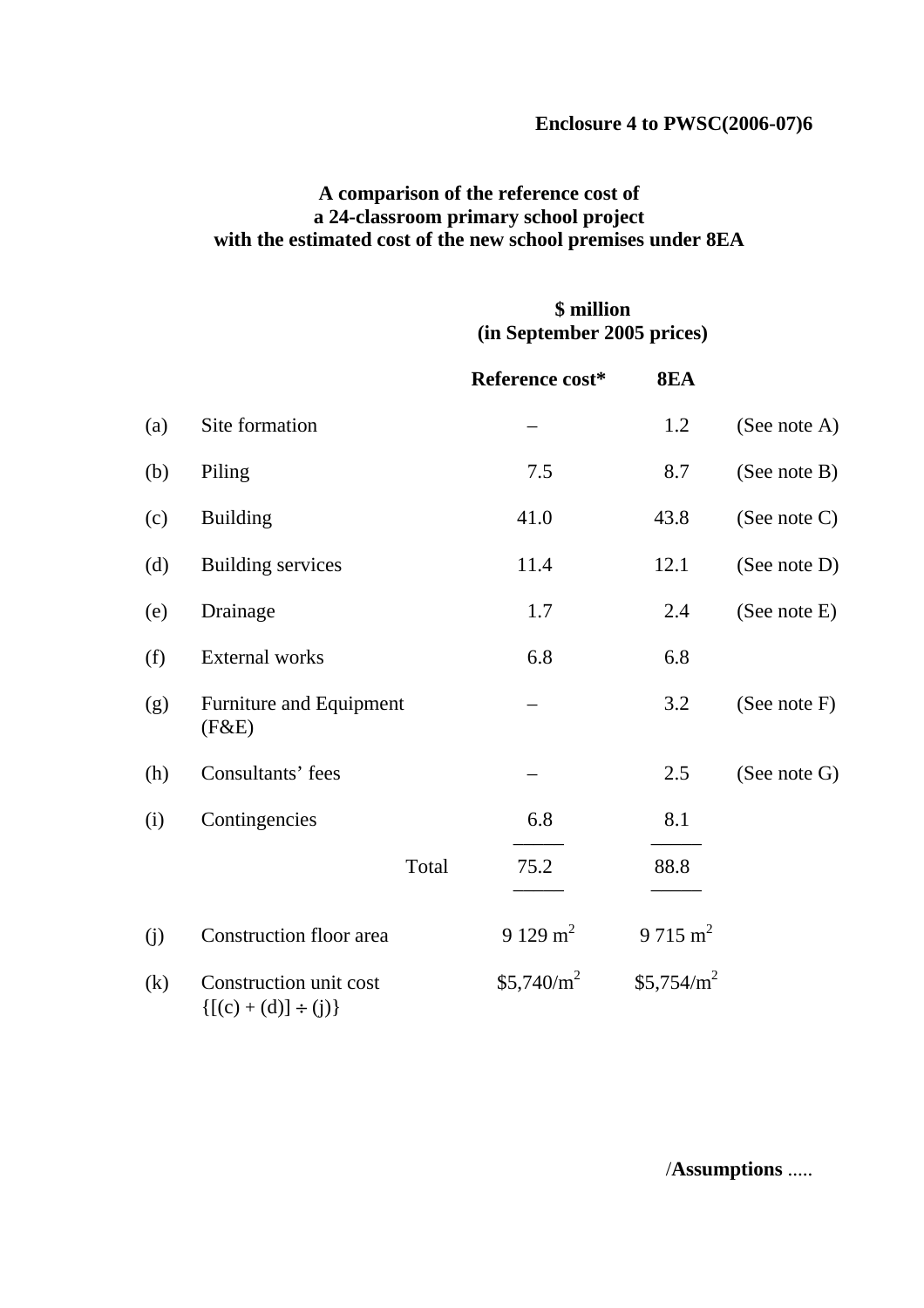#### **Enclosure 4 to PWSC(2006-07)6**

### **A comparison of the reference cost of a 24-classroom primary school project with the estimated cost of the new school premises under 8EA**

### **\$ million (in September 2005 prices)**

|     |                                                        | Reference cost* | <b>8EA</b>             |                 |
|-----|--------------------------------------------------------|-----------------|------------------------|-----------------|
| (a) | Site formation                                         |                 | 1.2                    | (See note A)    |
| (b) | Piling                                                 | 7.5             | 8.7                    | (See note B)    |
| (c) | <b>Building</b>                                        | 41.0            | 43.8                   | (See note $C$ ) |
| (d) | <b>Building services</b>                               | 11.4            | 12.1                   | (See note D)    |
| (e) | Drainage                                               | 1.7             | 2.4                    | (See note E)    |
| (f) | <b>External works</b>                                  | 6.8             | 6.8                    |                 |
| (g) | Furniture and Equipment<br>(F&E)                       |                 | 3.2                    | (See note $F$ ) |
| (h) | Consultants' fees                                      |                 | 2.5                    | (See note G)    |
| (i) | Contingencies                                          | 6.8             | 8.1                    |                 |
|     | Total                                                  | 75.2            | 88.8                   |                 |
| (j) | Construction floor area                                | 9 129 $m^2$     | $9715 \text{ m}^2$     |                 |
| (k) | Construction unit cost<br>$\{ [(c) + (d)] \div (j) \}$ | $$5,740/m^2$    | \$5,754/m <sup>2</sup> |                 |

/**Assumptions** .....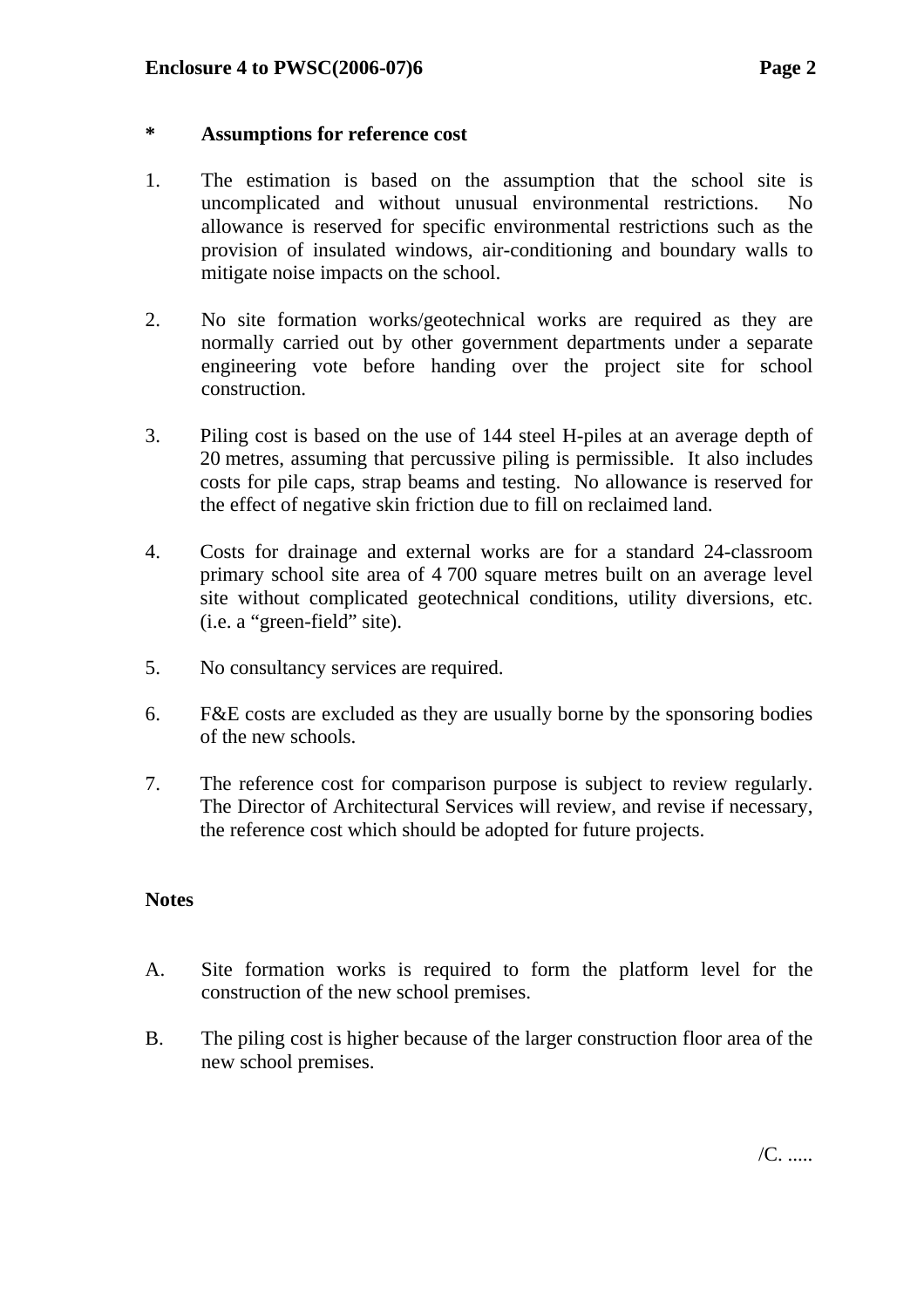#### **\* Assumptions for reference cost**

- 1. The estimation is based on the assumption that the school site is uncomplicated and without unusual environmental restrictions. No allowance is reserved for specific environmental restrictions such as the provision of insulated windows, air-conditioning and boundary walls to mitigate noise impacts on the school.
- 2. No site formation works/geotechnical works are required as they are normally carried out by other government departments under a separate engineering vote before handing over the project site for school construction.
- 3. Piling cost is based on the use of 144 steel H-piles at an average depth of 20 metres, assuming that percussive piling is permissible. It also includes costs for pile caps, strap beams and testing. No allowance is reserved for the effect of negative skin friction due to fill on reclaimed land.
- 4. Costs for drainage and external works are for a standard 24-classroom primary school site area of 4 700 square metres built on an average level site without complicated geotechnical conditions, utility diversions, etc. (i.e. a "green-field" site).
- 5. No consultancy services are required.
- 6. F&E costs are excluded as they are usually borne by the sponsoring bodies of the new schools.
- 7. The reference cost for comparison purpose is subject to review regularly. The Director of Architectural Services will review, and revise if necessary, the reference cost which should be adopted for future projects.

#### **Notes**

- A. Site formation works is required to form the platform level for the construction of the new school premises.
- B. The piling cost is higher because of the larger construction floor area of the new school premises.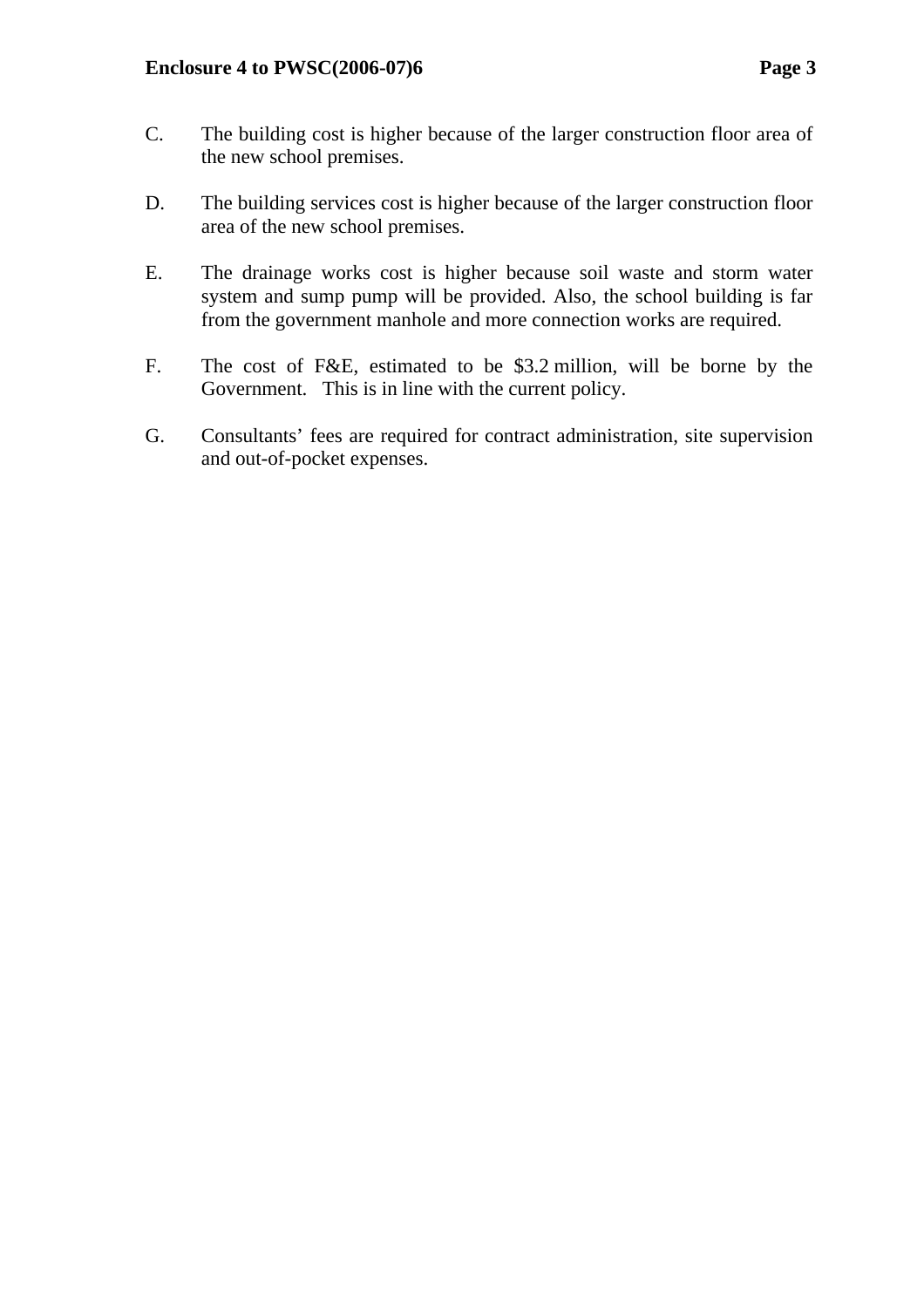- C. The building cost is higher because of the larger construction floor area of the new school premises.
- D. The building services cost is higher because of the larger construction floor area of the new school premises.
- E. The drainage works cost is higher because soil waste and storm water system and sump pump will be provided. Also, the school building is far from the government manhole and more connection works are required.
- F. The cost of F&E, estimated to be \$3.2 million, will be borne by the Government. This is in line with the current policy.
- G. Consultants' fees are required for contract administration, site supervision and out-of-pocket expenses.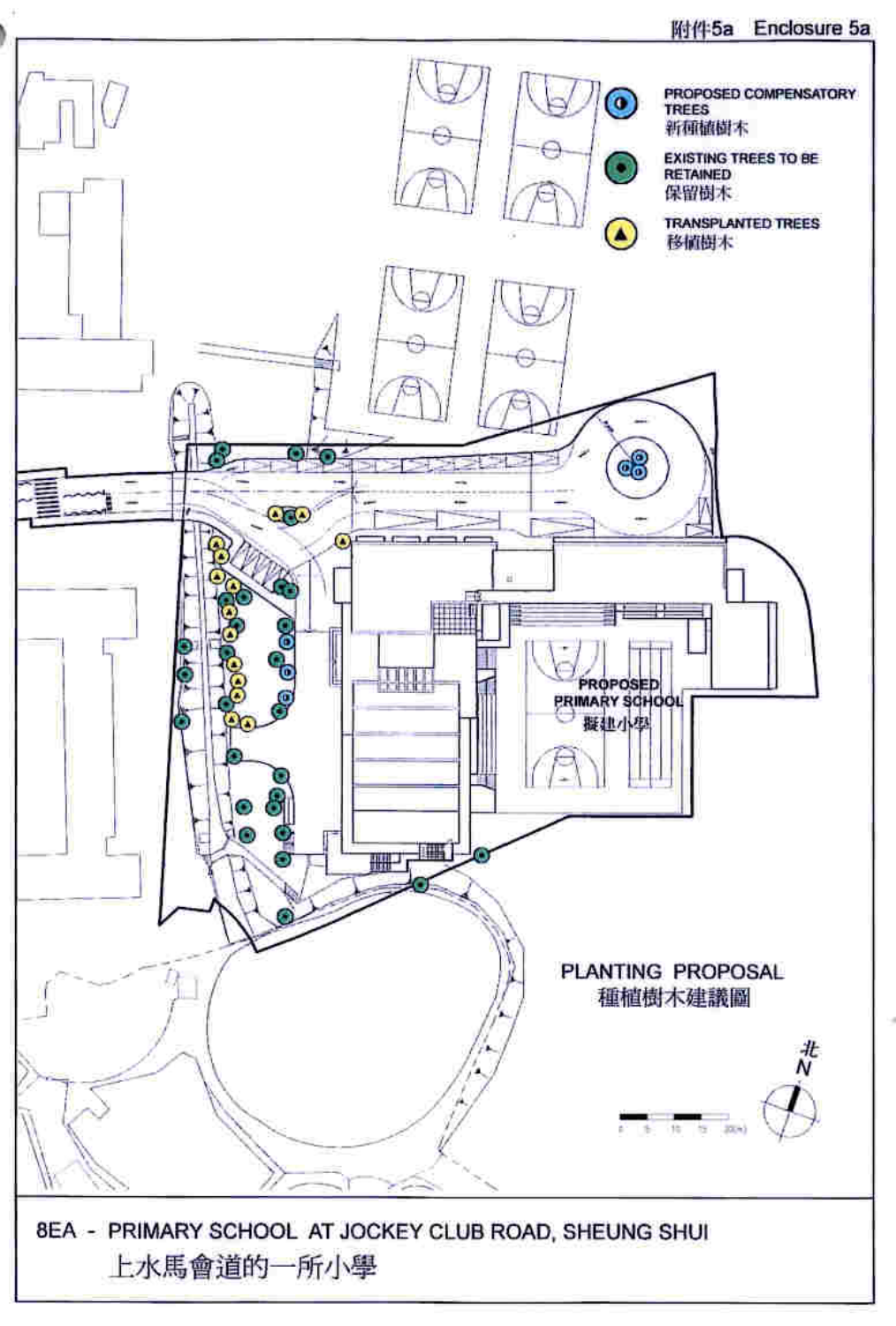#### 附件5a Enclosure 5a